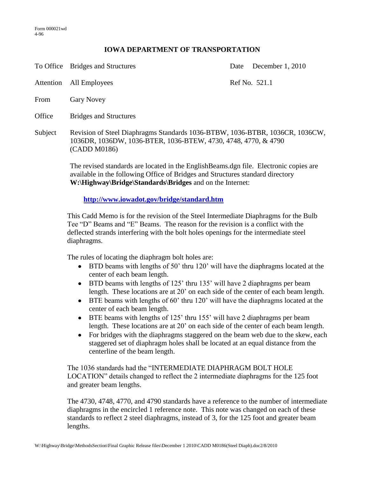## **IOWA DEPARTMENT OF TRANSPORTATION**

|         | To Office Bridges and Structures                                                                                                                               | December 1, 2010<br>Date |
|---------|----------------------------------------------------------------------------------------------------------------------------------------------------------------|--------------------------|
|         | Attention All Employees                                                                                                                                        | Ref No. 521.1            |
| From    | <b>Gary Novey</b>                                                                                                                                              |                          |
| Office  | <b>Bridges and Structures</b>                                                                                                                                  |                          |
| Subject | Revision of Steel Diaphragms Standards 1036-BTBW, 1036-BTBR, 1036CR, 1036CW,<br>1036DR, 1036DW, 1036-BTER, 1036-BTEW, 4730, 4748, 4770, & 4790<br>(CADD M0186) |                          |
|         | $\mathbf{1}$ , $\mathbf{1}$ , $\mathbf{1}$ , $\mathbf{1}$ , $\mathbf{1}$ , $\mathbf{1}$ , $\mathbf{1}$ , $\mathbf{1}$ , $\mathbf{1}$ , $\mathbf{1}$            |                          |

The revised standards are located in the EnglishBeams.dgn file. Electronic copies are available in the following Office of Bridges and Structures standard directory **W:\Highway\Bridge\Standards\Bridges** and on the Internet:

**<http://www.iowadot.gov/bridge/standard.htm>**

This Cadd Memo is for the revision of the Steel Intermediate Diaphragms for the Bulb Tee "D" Beams and "E" Beams. The reason for the revision is a conflict with the deflected strands interfering with the bolt holes openings for the intermediate steel diaphragms.

The rules of locating the diaphragm bolt holes are:

- BTD beams with lengths of 50' thru 120' will have the diaphragms located at the center of each beam length.
- BTD beams with lengths of 125' thru 135' will have 2 diaphragms per beam length. These locations are at 20' on each side of the center of each beam length.
- $\bullet$  BTE beams with lengths of 60' thru 120' will have the diaphragms located at the center of each beam length.
- BTE beams with lengths of 125' thru 155' will have 2 diaphragms per beam length. These locations are at 20' on each side of the center of each beam length.
- For bridges with the diaphragms staggered on the beam web due to the skew, each staggered set of diaphragm holes shall be located at an equal distance from the centerline of the beam length.

The 1036 standards had the "INTERMEDIATE DIAPHRAGM BOLT HOLE LOCATION" details changed to reflect the 2 intermediate diaphragms for the 125 foot and greater beam lengths.

The 4730, 4748, 4770, and 4790 standards have a reference to the number of intermediate diaphragms in the encircled 1 reference note. This note was changed on each of these standards to reflect 2 steel diaphragms, instead of 3, for the 125 foot and greater beam lengths.